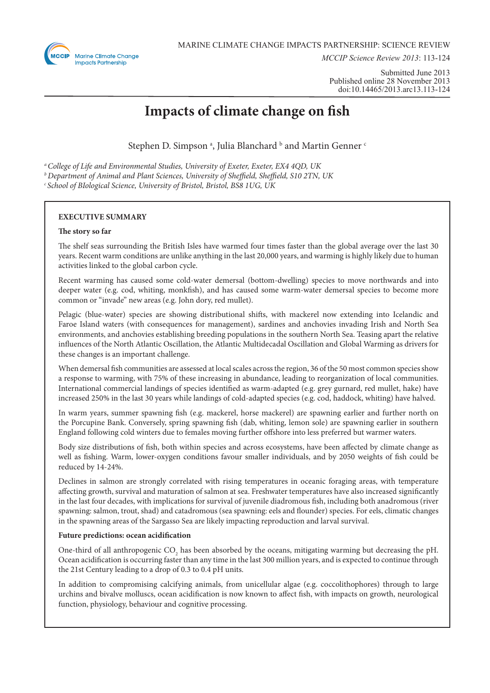

*MCCIP Science Review 2013*: 113-124

Submitted June 2013 Published online 28 November 2013 doi:10.14465/2013.arc13.113-124

# **Impacts of climate change on fish**

Stephen D. Simpson <sup>a</sup>, Julia Blanchard  $^{\rm b}$  and Martin Genner  $^{\rm c}$ 

*a College of Life and Environmental Studies, University of Exeter, Exeter, EX4 4QD, UK b Department of Animal and Plant Sciences, University of Sheffield, Sheffield, S10 2TN, UK c School of BIological Science, University of Bristol, Bristol, BS8 1UG, UK*

## **EXECUTIVE SUMMARY**

## **The story so far**

The shelf seas surrounding the British Isles have warmed four times faster than the global average over the last 30 years. Recent warm conditions are unlike anything in the last 20,000 years, and warming is highly likely due to human activities linked to the global carbon cycle.

Recent warming has caused some cold-water demersal (bottom-dwelling) species to move northwards and into deeper water (e.g. cod, whiting, monkfish), and has caused some warm-water demersal species to become more common or "invade" new areas (e.g. John dory, red mullet).

Pelagic (blue-water) species are showing distributional shifts, with mackerel now extending into Icelandic and Faroe Island waters (with consequences for management), sardines and anchovies invading Irish and North Sea environments, and anchovies establishing breeding populations in the southern North Sea. Teasing apart the relative influences of the North Atlantic Oscillation, the Atlantic Multidecadal Oscillation and Global Warming as drivers for these changes is an important challenge.

When demersal fish communities are assessed at local scales across the region, 36 of the 50 most common species show a response to warming, with 75% of these increasing in abundance, leading to reorganization of local communities. International commercial landings of species identified as warm-adapted (e.g. grey gurnard, red mullet, hake) have increased 250% in the last 30 years while landings of cold-adapted species (e.g. cod, haddock, whiting) have halved.

In warm years, summer spawning fish (e.g. mackerel, horse mackerel) are spawning earlier and further north on the Porcupine Bank. Conversely, spring spawning fish (dab, whiting, lemon sole) are spawning earlier in southern England following cold winters due to females moving further offshore into less preferred but warmer waters.

Body size distributions of fish, both within species and across ecosystems, have been affected by climate change as well as fishing. Warm, lower-oxygen conditions favour smaller individuals, and by 2050 weights of fish could be reduced by 14-24%.

Declines in salmon are strongly correlated with rising temperatures in oceanic foraging areas, with temperature affecting growth, survival and maturation of salmon at sea. Freshwater temperatures have also increased significantly in the last four decades, with implications for survival of juvenile diadromous fish, including both anadromous (river spawning: salmon, trout, shad) and catadromous (sea spawning: eels and flounder) species. For eels, climatic changes in the spawning areas of the Sargasso Sea are likely impacting reproduction and larval survival.

## **Future predictions: ocean acidification**

One-third of all anthropogenic  $\mathrm{CO}_2$  has been absorbed by the oceans, mitigating warming but decreasing the pH. Ocean acidification is occurring faster than any time in the last 300 million years, and is expected to continue through the 21st Century leading to a drop of 0.3 to 0.4 pH units.

In addition to compromising calcifying animals, from unicellular algae (e.g. coccolithophores) through to large urchins and bivalve molluscs, ocean acidification is now known to affect fish, with impacts on growth, neurological function, physiology, behaviour and cognitive processing.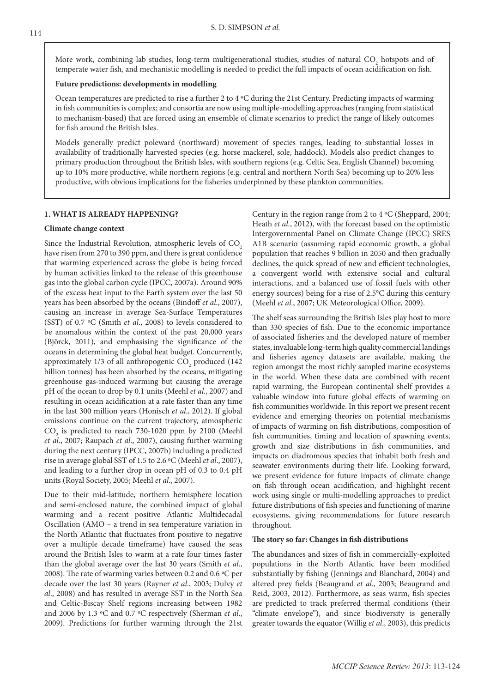More work, combining lab studies, long-term multigenerational studies, studies of natural  $\mathrm{CO}_2$  hotspots and of temperate water fish, and mechanistic modelling is needed to predict the full impacts of ocean acidification on fish.

#### **Future predictions: developments in modelling**

Ocean temperatures are predicted to rise a further 2 to 4 ºC during the 21st Century. Predicting impacts of warming in fish communities is complex; and consortia are now using multiple-modelling approaches (ranging from statistical to mechanism-based) that are forced using an ensemble of climate scenarios to predict the range of likely outcomes for fish around the British Isles.

Models generally predict poleward (northward) movement of species ranges, leading to substantial losses in availability of traditionally harvested species (e.g. horse mackerel, sole, haddock). Models also predict changes to primary production throughout the British Isles, with southern regions (e.g. Celtic Sea, English Channel) becoming up to 10% more productive, while northern regions (e.g. central and northern North Sea) becoming up to 20% less productive, with obvious implications for the fisheries underpinned by these plankton communities.

#### **1. WHAT IS ALREADY HAPPENING?**

### **Climate change context**

Since the Industrial Revolution, atmospheric levels of CO<sub>2</sub> have risen from 270 to 390 ppm, and there is great confidence that warming experienced across the globe is being forced by human activities linked to the release of this greenhouse gas into the global carbon cycle (IPCC, 2007a). Around 90% of the excess heat input to the Earth system over the last 50 years has been absorbed by the oceans (Bindoff *et al*., 2007), causing an increase in average Sea-Surface Temperatures (SST) of 0.7 ºC (Smith *et al*., 2008) to levels considered to be anomalous within the context of the past 20,000 years (Björck, 2011), and emphasising the significance of the oceans in determining the global heat budget. Concurrently, approximately  $1/3$  of all anthropogenic  $\mathrm{CO}_2$  produced (142) billion tonnes) has been absorbed by the oceans, mitigating greenhouse gas-induced warming but causing the average pH of the ocean to drop by 0.1 units (Meehl *et al*., 2007) and resulting in ocean acidification at a rate faster than any time in the last 300 million years (Honisch *et al*., 2012). If global emissions continue on the current trajectory, atmospheric  $\text{CO}_2$  is predicted to reach 730-1020 ppm by 2100 (Meehl *et al*., 2007; Raupach *et al*., 2007), causing further warming during the next century (IPCC, 2007b) including a predicted rise in average global SST of 1.5 to 2.6 ºC (Meehl *et al*., 2007), and leading to a further drop in ocean pH of 0.3 to 0.4 pH units (Royal Society, 2005; Meehl *et al*., 2007).

Due to their mid-latitude, northern hemisphere location and semi-enclosed nature, the combined impact of global warming and a recent positive Atlantic Multidecadal Oscillation (AMO – a trend in sea temperature variation in the North Atlantic that fluctuates from positive to negative over a multiple decade timeframe) have caused the seas around the British Isles to warm at a rate four times faster than the global average over the last 30 years (Smith *et al*., 2008). The rate of warming varies between 0.2 and 0.6 ºC per decade over the last 30 years (Rayner *et al*., 2003; Dulvy *et al*., 2008) and has resulted in average SST in the North Sea and Celtic-Biscay Shelf regions increasing between 1982 and 2006 by 1.3 ºC and 0.7 ºC respectively (Sherman *et al*., 2009). Predictions for further warming through the 21st

Century in the region range from 2 to 4 ºC (Sheppard, 2004; Heath *et al*., 2012), with the forecast based on the optimistic Intergovernmental Panel on Climate Change (IPCC) SRES A1B scenario (assuming rapid economic growth, a global population that reaches 9 billion in 2050 and then gradually declines, the quick spread of new and efficient technologies, a convergent world with extensive social and cultural interactions, and a balanced use of fossil fuels with other energy sources) being for a rise of 2.5°C during this century (Meehl *et al*., 2007; UK Meteorological Office, 2009).

The shelf seas surrounding the British Isles play host to more than 330 species of fish. Due to the economic importance of associated fisheries and the developed nature of member states, invaluable long-term high quality commercial landings and fisheries agency datasets are available, making the region amongst the most richly sampled marine ecosystems in the world. When these data are combined with recent rapid warming, the European continental shelf provides a valuable window into future global effects of warming on fish communities worldwide. In this report we present recent evidence and emerging theories on potential mechanisms of impacts of warming on fish distributions, composition of fish communities, timing and location of spawning events, growth and size distributions in fish communities, and impacts on diadromous species that inhabit both fresh and seawater environments during their life. Looking forward, we present evidence for future impacts of climate change on fish through ocean acidification, and highlight recent work using single or multi-modelling approaches to predict future distributions of fish species and functioning of marine ecosystems, giving recommendations for future research throughout.

#### **The story so far: Changes in fish distributions**

The abundances and sizes of fish in commercially-exploited populations in the North Atlantic have been modified substantially by fishing (Jennings and Blanchard, 2004) and altered prey fields (Beaugrand *et al*., 2003; Beaugrand and Reid, 2003, 2012). Furthermore, as seas warm, fish species are predicted to track preferred thermal conditions (their "climate envelope"), and since biodiversity is generally greater towards the equator (Willig *et al*., 2003), this predicts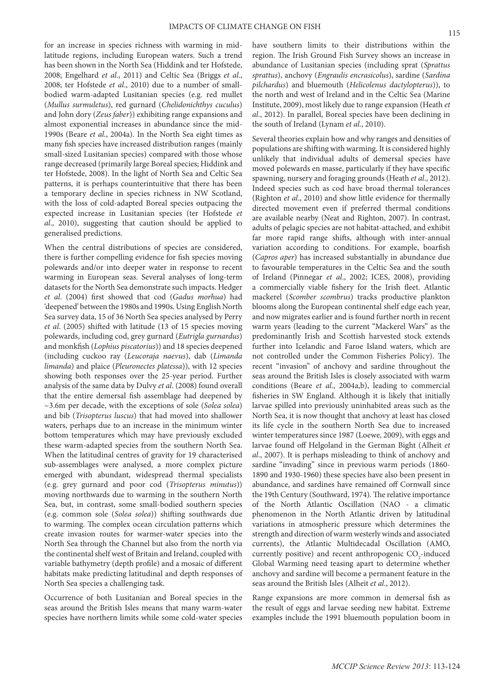for an increase in species richness with warming in midlatitude regions, including European waters. Such a trend has been shown in the North Sea (Hiddink and ter Hofstede, 2008; Engelhard *et al*., 2011) and Celtic Sea (Briggs *et al*., 2008; ter Hofstede *et al*., 2010) due to a number of smallbodied warm-adapted Lusitanian species (e.g. red mullet (*Mullus surmuletus*), red gurnard (*Chelidonichthys cuculus*) and John dory (*Zeus faber*)) exhibiting range expansions and almost exponential increases in abundance since the mid-1990s (Beare *et al*., 2004a). In the North Sea eight times as many fish species have increased distribution ranges (mainly small-sized Lusitanian species) compared with those whose range decreased (primarily large Boreal species; Hiddink and ter Hofstede, 2008). In the light of North Sea and Celtic Sea patterns, it is perhaps counterintuitive that there has been a temporary decline in species richness in NW Scotland, with the loss of cold-adapted Boreal species outpacing the expected increase in Lusitanian species (ter Hofstede *et al*., 2010), suggesting that caution should be applied to generalised predictions.

When the central distributions of species are considered, there is further compelling evidence for fish species moving polewards and/or into deeper water in response to recent warming in European seas. Several analyses of long-term datasets for the North Sea demonstrate such impacts. Hedger *et al*. (2004) first showed that cod (*Gadus morhua*) had 'deepened' between the 1980s and 1990s. Using English North Sea survey data, 15 of 36 North Sea species analysed by Perry *et al*. (2005) shifted with latitude (13 of 15 species moving polewards, including cod, grey gurnard (*Eutrigla gurnardus*) and monkfish (*Lophius piscatorius*)) and 18 species deepened (including cuckoo ray (*Leucoraja naevus*), dab (*Limanda limanda*) and plaice (*Pleuronectes platessa*)), with 12 species showing both responses over the 25-year period. Further analysis of the same data by Dulvy *et al*. (2008) found overall that the entire demersal fish assemblage had deepened by ~3.6m per decade, with the exceptions of sole (*Solea solea*) and bib (*Trisopterus luscus*) that had moved into shallower waters, perhaps due to an increase in the minimum winter bottom temperatures which may have previously excluded these warm-adapted species from the southern North Sea. When the latitudinal centres of gravity for 19 characterised sub-assemblages were analysed, a more complex picture emerged with abundant, widespread thermal specialists (e.g. grey gurnard and poor cod (*Trisopterus minutus*)) moving northwards due to warming in the southern North Sea, but, in contrast, some small-bodied southern species (e.g. common sole (*Solea solea*)) shifting southwards due to warming. The complex ocean circulation patterns which create invasion routes for warmer-water species into the North Sea through the Channel but also from the north via the continental shelf west of Britain and Ireland, coupled with variable bathymetry (depth profile) and a mosaic of different habitats make predicting latitudinal and depth responses of North Sea species a challenging task.

Occurrence of both Lusitanian and Boreal species in the seas around the British Isles means that many warm-water species have northern limits while some cold-water species

have southern limits to their distributions within the region. The Irish Ground Fish Survey shows an increase in abundance of Lusitanian species (including sprat (*Sprattus sprattus*), anchovy (*Engraulis encrasicolus*), sardine (*Sardina pilchardus*) and bluemouth (*Helicolenus dactylopterus*)), to the north and west of Ireland and in the Celtic Sea (Marine Institute, 2009), most likely due to range expansion (Heath *et al*., 2012). In parallel, Boreal species have been declining in the south of Ireland (Lynam *et al*., 2010).

Several theories explain how and why ranges and densities of populations are shifting with warming. It is considered highly unlikely that individual adults of demersal species have moved polewards en masse, particularly if they have specific spawning, nursery and foraging grounds (Heath *et al*., 2012). Indeed species such as cod have broad thermal tolerances (Righton *et al*., 2010) and show little evidence for thermally directed movement even if preferred thermal conditions are available nearby (Neat and Righton, 2007). In contrast, adults of pelagic species are not habitat-attached, and exhibit far more rapid range shifts, although with inter-annual variation according to conditions. For example, boarfish (*Capros aper*) has increased substantially in abundance due to favourable temperatures in the Celtic Sea and the south of Ireland (Pinnegar *et al*., 2002; ICES, 2008), providing a commercially viable fishery for the Irish fleet. Atlantic mackerel (*Scomber scombrus*) tracks productive plankton blooms along the European continental shelf edge each year, and now migrates earlier and is found further north in recent warm years (leading to the current "Mackerel Wars" as the predominantly Irish and Scottish harvested stock extends further into Icelandic and Faroe Island waters, which are not controlled under the Common Fisheries Policy). The recent "invasion" of anchovy and sardine throughout the seas around the British Isles is closely associated with warm conditions (Beare *et al*., 2004a,b), leading to commercial fisheries in SW England. Although it is likely that initially larvae spilled into previously uninhabited areas such as the North Sea, it is now thought that anchovy at least has closed its life cycle in the southern North Sea due to increased winter temperatures since 1987 (Loewe, 2009), with eggs and larvae found off Helgoland in the German Bight (Alheit *et al*., 2007). It is perhaps misleading to think of anchovy and sardine "invading" since in previous warm periods (1860- 1890 and 1930-1960) these species have also been present in abundance, and sardines have remained off Cornwall since the 19th Century (Southward, 1974). The relative importance of the North Atlantic Oscillation (NAO - a climatic phenomenon in the North Atlantic driven by latitudinal variations in atmospheric pressure which determines the strength and direction of warm westerly winds and associated currents), the Atlantic Multidecadal Oscillation (AMO, currently positive) and recent anthropogenic  $CO_2$ -induced Global Warming need teasing apart to determine whether anchovy and sardine will become a permanent feature in the seas around the British Isles (Alheit *et al*., 2012).

Range expansions are more common in demersal fish as the result of eggs and larvae seeding new habitat. Extreme examples include the 1991 bluemouth population boom in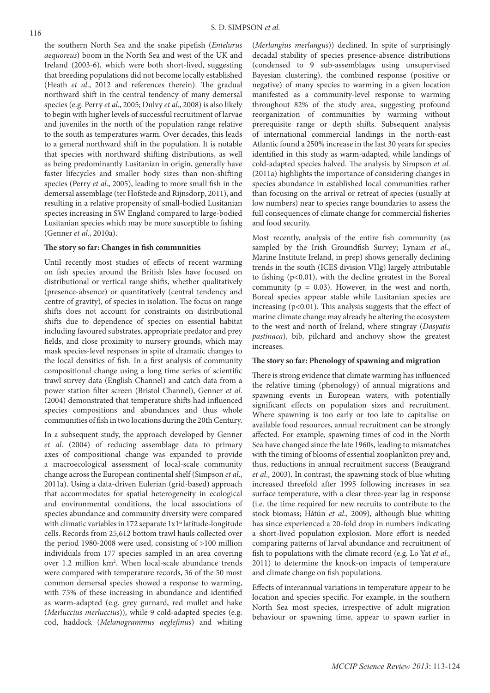the southern North Sea and the snake pipefish (*Entelurus aequoreus*) boom in the North Sea and west of the UK and Ireland (2003-6), which were both short-lived, suggesting that breeding populations did not become locally established (Heath *et al*., 2012 and references therein). The gradual northward shift in the central tendency of many demersal species (e.g. Perry *et al*., 2005; Dulvy *et al*., 2008) is also likely to begin with higher levels of successful recruitment of larvae and juveniles in the north of the population range relative to the south as temperatures warm. Over decades, this leads to a general northward shift in the population. It is notable that species with northward shifting distributions, as well as being predominantly Lusitanian in origin, generally have faster lifecycles and smaller body sizes than non-shifting species (Perry *et al*., 2005), leading to more small fish in the demersal assemblage (ter Hofstede and Rijnsdorp, 2011), and resulting in a relative propensity of small-bodied Lusitanian species increasing in SW England compared to large-bodied Lusitanian species which may be more susceptible to fishing (Genner *et al*., 2010a).

## **The story so far: Changes in fish communities**

Until recently most studies of effects of recent warming on fish species around the British Isles have focused on distributional or vertical range shifts, whether qualitatively (presence-absence) or quantitatively (central tendency and centre of gravity), of species in isolation. The focus on range shifts does not account for constraints on distributional shifts due to dependence of species on essential habitat including favoured substrates, appropriate predator and prey fields, and close proximity to nursery grounds, which may mask species-level responses in spite of dramatic changes to the local densities of fish. In a first analysis of community compositional change using a long time series of scientific trawl survey data (English Channel) and catch data from a power station filter screen (Bristol Channel), Genner *et al*. (2004) demonstrated that temperature shifts had influenced species compositions and abundances and thus whole communities of fish in two locations during the 20th Century.

In a subsequent study, the approach developed by Genner *et al*. (2004) of reducing assemblage data to primary axes of compositional change was expanded to provide a macroecological assessment of local-scale community change across the European continental shelf (Simpson *et al*., 2011a). Using a data-driven Eulerian (grid-based) approach that accommodates for spatial heterogeneity in ecological and environmental conditions, the local associations of species abundance and community diversity were compared with climatic variables in 172 separate 1x1º latitude-longitude cells. Records from 25,612 bottom trawl hauls collected over the period 1980-2008 were used, consisting of >100 million individuals from 177 species sampled in an area covering over 1.2 million km<sup>2</sup>. When local-scale abundance trends were compared with temperature records, 36 of the 50 most common demersal species showed a response to warming, with 75% of these increasing in abundance and identified as warm-adapted (e.g. grey gurnard, red mullet and hake (*Merluccius merluccius*)), while 9 cold-adapted species (e.g. cod, haddock (*Melanogrammus aeglefinus*) and whiting

(*Merlangius merlangus*)) declined. In spite of surprisingly decadal stability of species presence-absence distributions (condensed to 9 sub-assemblages using unsupervised Bayesian clustering), the combined response (positive or negative) of many species to warming in a given location manifested as a community-level response to warming throughout 82% of the study area, suggesting profound reorganization of communities by warming without prerequisite range or depth shifts. Subsequent analysis of international commercial landings in the north-east Atlantic found a 250% increase in the last 30 years for species identified in this study as warm-adapted, while landings of cold-adapted species halved. The analysis by Simpson *et al*. (2011a) highlights the importance of considering changes in species abundance in established local communities rather than focusing on the arrival or retreat of species (usually at low numbers) near to species range boundaries to assess the full consequences of climate change for commercial fisheries and food security.

Most recently, analysis of the entire fish community (as sampled by the Irish Groundfish Survey; Lynam *et al*., Marine Institute Ireland, in prep) shows generally declining trends in the south (ICES division VIIg) largely attributable to fishing (p<0.01), with the decline greatest in the Boreal community ( $p = 0.03$ ). However, in the west and north, Boreal species appear stable while Lusitanian species are increasing  $(p<0.01)$ . This analysis suggests that the effect of marine climate change may already be altering the ecosystem to the west and north of Ireland, where stingray (*Dasyatis pastinaca*), bib, pilchard and anchovy show the greatest increases.

## **The story so far: Phenology of spawning and migration**

There is strong evidence that climate warming has influenced the relative timing (phenology) of annual migrations and spawning events in European waters, with potentially significant effects on population sizes and recruitment. Where spawning is too early or too late to capitalise on available food resources, annual recruitment can be strongly affected. For example, spawning times of cod in the North Sea have changed since the late 1960s, leading to mismatches with the timing of blooms of essential zooplankton prey and, thus, reductions in annual recruitment success (Beaugrand *et al*., 2003). In contrast, the spawning stock of blue whiting increased threefold after 1995 following increases in sea surface temperature, with a clear three-year lag in response (i.e. the time required for new recruits to contribute to the stock biomass; Hátún *et al*., 2009), although blue whiting has since experienced a 20-fold drop in numbers indicating a short-lived population explosion. More effort is needed comparing patterns of larval abundance and recruitment of fish to populations with the climate record (e.g. Lo Yat *et al*., 2011) to determine the knock-on impacts of temperature and climate change on fish populations.

Effects of interannual variations in temperature appear to be location and species specific. For example, in the southern North Sea most species, irrespective of adult migration behaviour or spawning time, appear to spawn earlier in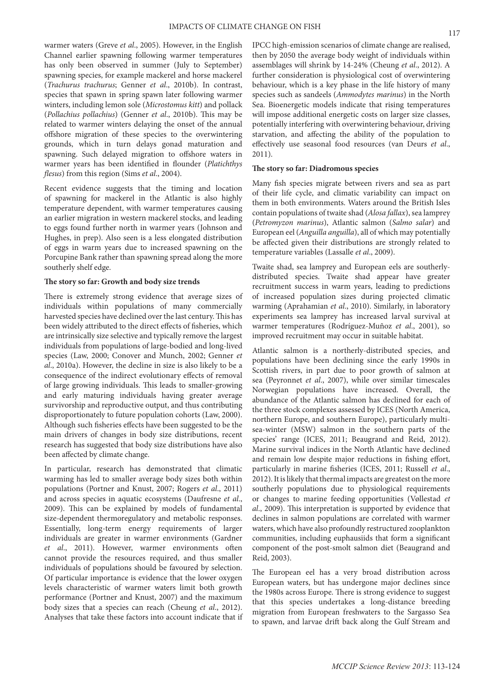warmer waters (Greve *et al*., 2005). However, in the English Channel earlier spawning following warmer temperatures has only been observed in summer (July to September) spawning species, for example mackerel and horse mackerel (*Trachurus trachurus*; Genner *et al*., 2010b). In contrast, species that spawn in spring spawn later following warmer winters, including lemon sole (*Microstomus kitt*) and pollack (*Pollachius pollachius*) (Genner *et al*., 2010b). This may be related to warmer winters delaying the onset of the annual offshore migration of these species to the overwintering grounds, which in turn delays gonad maturation and spawning. Such delayed migration to offshore waters in warmer years has been identified in flounder (*Platichthys flesus*) from this region (Sims *et al*., 2004).

Recent evidence suggests that the timing and location of spawning for mackerel in the Atlantic is also highly temperature dependent, with warmer temperatures causing an earlier migration in western mackerel stocks, and leading to eggs found further north in warmer years (Johnson and Hughes, in prep). Also seen is a less elongated distribution of eggs in warm years due to increased spawning on the Porcupine Bank rather than spawning spread along the more southerly shelf edge.

## **The story so far: Growth and body size trends**

There is extremely strong evidence that average sizes of individuals within populations of many commercially harvested species have declined over the last century. This has been widely attributed to the direct effects of fisheries, which are intrinsically size selective and typically remove the largest individuals from populations of large-bodied and long-lived species (Law, 2000; Conover and Munch, 2002; Genner *et al*., 2010a). However, the decline in size is also likely to be a consequence of the indirect evolutionary effects of removal of large growing individuals. This leads to smaller-growing and early maturing individuals having greater average survivorship and reproductive output, and thus contributing disproportionately to future population cohorts (Law, 2000). Although such fisheries effects have been suggested to be the main drivers of changes in body size distributions, recent research has suggested that body size distributions have also been affected by climate change.

In particular, research has demonstrated that climatic warming has led to smaller average body sizes both within populations (Portner and Knust, 2007; Rogers *et al*., 2011) and across species in aquatic ecosystems (Daufresne *et al*., 2009). This can be explained by models of fundamental size-dependent thermoregulatory and metabolic responses. Essentially, long-term energy requirements of larger individuals are greater in warmer environments (Gardner *et al*., 2011). However, warmer environments often cannot provide the resources required, and thus smaller individuals of populations should be favoured by selection. Of particular importance is evidence that the lower oxygen levels characteristic of warmer waters limit both growth performance (Portner and Knust, 2007) and the maximum body sizes that a species can reach (Cheung *et al*., 2012). Analyses that take these factors into account indicate that if

IPCC high-emission scenarios of climate change are realised, then by 2050 the average body weight of individuals within assemblages will shrink by 14-24% (Cheung *et al*., 2012). A further consideration is physiological cost of overwintering behaviour, which is a key phase in the life history of many species such as sandeels (*Ammodytes marinus*) in the North Sea. Bioenergetic models indicate that rising temperatures will impose additional energetic costs on larger size classes, potentially interfering with overwintering behaviour, driving starvation, and affecting the ability of the population to effectively use seasonal food resources (van Deurs *et al*., 2011).

## **The story so far: Diadromous species**

Many fish species migrate between rivers and sea as part of their life cycle, and climatic variability can impact on them in both environments. Waters around the British Isles contain populations of twaite shad (*Alosa fallax*), sea lamprey (*Petromyzon marinus*), Atlantic salmon (*Salmo salar*) and European eel (*Anguilla anguilla*), all of which may potentially be affected given their distributions are strongly related to temperature variables (Lassalle *et al*., 2009).

Twaite shad, sea lamprey and European eels are southerlydistributed species. Twaite shad appear have greater recruitment success in warm years, leading to predictions of increased population sizes during projected climatic warming (Aprahamian *et al*., 2010). Similarly, in laboratory experiments sea lamprey has increased larval survival at warmer temperatures (Rodríguez-Muñoz *et al*., 2001), so improved recruitment may occur in suitable habitat.

Atlantic salmon is a northerly-distributed species, and populations have been declining since the early 1990s in Scottish rivers, in part due to poor growth of salmon at sea (Peyronnet *et al*., 2007), while over similar timescales Norwegian populations have increased. Overall, the abundance of the Atlantic salmon has declined for each of the three stock complexes assessed by ICES (North America, northern Europe, and southern Europe), particularly multisea-winter (MSW) salmon in the southern parts of the species' range (ICES, 2011; Beaugrand and Reid, 2012). Marine survival indices in the North Atlantic have declined and remain low despite major reductions in fishing effort, particularly in marine fisheries (ICES, 2011; Russell *et al*., 2012). It is likely that thermal impacts are greatest on the more southerly populations due to physiological requirements or changes to marine feeding opportunities (Vøllestad *et al*., 2009). This interpretation is supported by evidence that declines in salmon populations are correlated with warmer waters, which have also profoundly restructured zooplankton communities, including euphausiids that form a significant component of the post-smolt salmon diet (Beaugrand and Reid, 2003).

The European eel has a very broad distribution across European waters, but has undergone major declines since the 1980s across Europe. There is strong evidence to suggest that this species undertakes a long-distance breeding migration from European freshwaters to the Sargasso Sea to spawn, and larvae drift back along the Gulf Stream and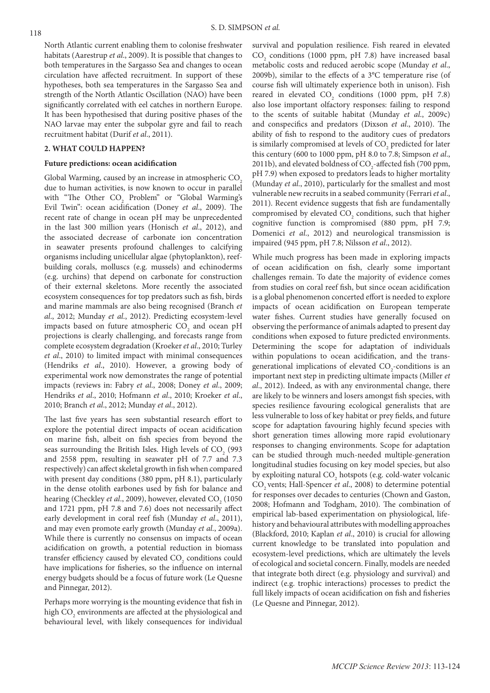North Atlantic current enabling them to colonise freshwater habitats (Aarestrup *et al*., 2009). It is possible that changes to both temperatures in the Sargasso Sea and changes to ocean circulation have affected recruitment. In support of these hypotheses, both sea temperatures in the Sargasso Sea and strength of the North Atlantic Oscillation (NAO) have been significantly correlated with eel catches in northern Europe. It has been hypothesised that during positive phases of the NAO larvae may enter the subpolar gyre and fail to reach recruitment habitat (Durif *et al*., 2011).

## **2. WHAT COULD HAPPEN?**

#### **Future predictions: ocean acidification**

Global Warming, caused by an increase in atmospheric CO<sub>2</sub> due to human activities, is now known to occur in parallel with "The Other  $CO_2$  Problem" or "Global Warming's Evil Twin": ocean acidification (Doney *et al*., 2009). The recent rate of change in ocean pH may be unprecedented in the last 300 million years (Honisch *et al*., 2012), and the associated decrease of carbonate ion concentration in seawater presents profound challenges to calcifying organisms including unicellular algae (phytoplankton), reefbuilding corals, molluscs (e.g. mussels) and echinoderms (e.g. urchins) that depend on carbonate for construction of their external skeletons. More recently the associated ecosystem consequences for top predators such as fish, birds and marine mammals are also being recognised (Branch *et al*., 2012; Munday *et al*., 2012). Predicting ecosystem-level impacts based on future atmospheric  $\mathrm{CO}_2$  and ocean pH projections is clearly challenging, and forecasts range from complete ecosystem degradation (Kroeker *et al*., 2010; Turley *et al*., 2010) to limited impact with minimal consequences (Hendriks *et al*., 2010). However, a growing body of experimental work now demonstrates the range of potential impacts (reviews in: Fabry *et al*., 2008; Doney *et al*., 2009; Hendriks *et al*., 2010; Hofmann *et al*., 2010; Kroeker *et al*., 2010; Branch *et al*., 2012; Munday *et al*., 2012).

The last five years has seen substantial research effort to explore the potential direct impacts of ocean acidification on marine fish, albeit on fish species from beyond the seas surrounding the British Isles. High levels of  $\mathrm{CO}_2$  (993 and 2558 ppm, resulting in seawater pH of 7.7 and 7.3 respectively) can affect skeletal growth in fish when compared with present day conditions (380 ppm, pH 8.1), particularly in the dense otolith earbones used by fish for balance and hearing (Checkley *et al.*, 2009), however, elevated CO<sub>2</sub> (1050) and 1721 ppm, pH 7.8 and 7.6) does not necessarily affect early development in coral reef fish (Munday *et al*., 2011), and may even promote early growth (Munday *et al*., 2009a). While there is currently no consensus on impacts of ocean acidification on growth, a potential reduction in biomass transfer efficiency caused by elevated  $\mathrm{CO}_\mathrm{2}$  conditions could have implications for fisheries, so the influence on internal energy budgets should be a focus of future work (Le Quesne and Pinnegar, 2012).

Perhaps more worrying is the mounting evidence that fish in high  $\mathrm{CO}_2$  environments are affected at the physiological and behavioural level, with likely consequences for individual

survival and population resilience. Fish reared in elevated  $CO<sub>2</sub>$  conditions (1000 ppm, pH 7.8) have increased basal metabolic costs and reduced aerobic scope (Munday *et al*., 2009b), similar to the effects of a 3°C temperature rise (of course fish will ultimately experience both in unison). Fish reared in elevated  $CO<sub>2</sub>$  conditions (1000 ppm, pH 7.8) also lose important olfactory responses: failing to respond to the scents of suitable habitat (Munday *et al*., 2009c) and conspecifics and predators (Dixson *et al*., 2010). The ability of fish to respond to the auditory cues of predators is similarly compromised at levels of  $\mathrm{CO}_2$  predicted for later this century (600 to 1000 ppm, pH 8.0 to 7.8; Simpson *et al*., 2011b), and elevated boldness of  $\mathrm{CO}_2$ -affected fish (700 ppm, pH 7.9) when exposed to predators leads to higher mortality (Munday *et al*., 2010), particularly for the smallest and most vulnerable new recruits in a seabed community (Ferrari *et al*., 2011). Recent evidence suggests that fish are fundamentally compromised by elevated  $CO_2$  conditions, such that higher cognitive function is compromised (880 ppm, pH 7.9; Domenici *et al*., 2012) and neurological transmission is impaired (945 ppm, pH 7.8; Nilsson *et al*., 2012).

While much progress has been made in exploring impacts of ocean acidification on fish, clearly some important challenges remain. To date the majority of evidence comes from studies on coral reef fish, but since ocean acidification is a global phenomenon concerted effort is needed to explore impacts of ocean acidification on European temperate water fishes. Current studies have generally focused on observing the performance of animals adapted to present day conditions when exposed to future predicted environments. Determining the scope for adaptation of individuals within populations to ocean acidification, and the transgenerational implications of elevated  $CO_2$ -conditions is an important next step in predicting ultimate impacts (Miller *et al*., 2012). Indeed, as with any environmental change, there are likely to be winners and losers amongst fish species, with species resilience favouring ecological generalists that are less vulnerable to loss of key habitat or prey fields, and future scope for adaptation favouring highly fecund species with short generation times allowing more rapid evolutionary responses to changing environments. Scope for adaptation can be studied through much-needed multiple-generation longitudinal studies focusing on key model species, but also by exploiting natural  $\mathrm{CO}_2$  hotspots (e.g. cold-water volcanic CO<sub>2</sub> vents; Hall-Spencer et al., 2008) to determine potential for responses over decades to centuries (Chown and Gaston, 2008; Hofmann and Todgham, 2010). The combination of empirical lab-based experimentation on physiological, lifehistory and behavioural attributes with modelling approaches (Blackford, 2010; Kaplan *et al*., 2010) is crucial for allowing current knowledge to be translated into population and ecosystem-level predictions, which are ultimately the levels of ecological and societal concern. Finally, models are needed that integrate both direct (e.g. physiology and survival) and indirect (e.g. trophic interactions) processes to predict the full likely impacts of ocean acidification on fish and fisheries (Le Quesne and Pinnegar, 2012).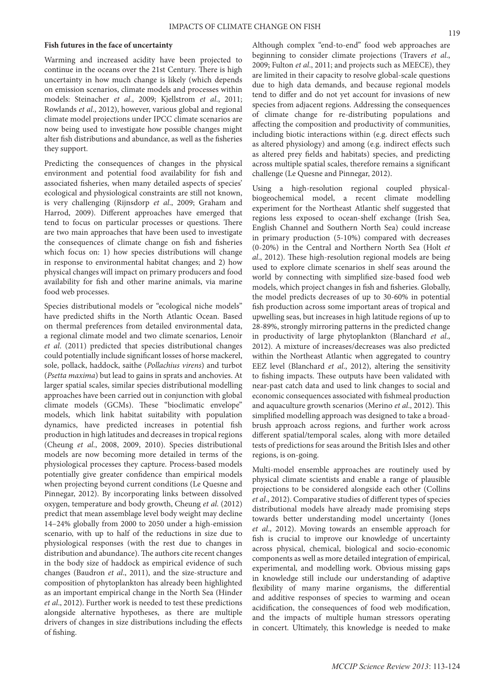#### **Fish futures in the face of uncertainty**

Warming and increased acidity have been projected to continue in the oceans over the 21st Century. There is high uncertainty in how much change is likely (which depends on emission scenarios, climate models and processes within models: Steinacher *et al*., 2009; Kjellstrom *et al*., 2011; Rowlands *et al*., 2012), however, various global and regional climate model projections under IPCC climate scenarios are now being used to investigate how possible changes might alter fish distributions and abundance, as well as the fisheries they support.

Predicting the consequences of changes in the physical environment and potential food availability for fish and associated fisheries, when many detailed aspects of species' ecological and physiological constraints are still not known, is very challenging (Rijnsdorp *et al*., 2009; Graham and Harrod, 2009). Different approaches have emerged that tend to focus on particular processes or questions. There are two main approaches that have been used to investigate the consequences of climate change on fish and fisheries which focus on: 1) how species distributions will change in response to environmental habitat changes; and 2) how physical changes will impact on primary producers and food availability for fish and other marine animals, via marine food web processes.

Species distributional models or "ecological niche models" have predicted shifts in the North Atlantic Ocean. Based on thermal preferences from detailed environmental data, a regional climate model and two climate scenarios, Lenoir *et al*. (2011) predicted that species distributional changes could potentially include significant losses of horse mackerel, sole, pollack, haddock, saithe (*Pollachius virens*) and turbot (*Psetta maxima*) but lead to gains in sprats and anchovies. At larger spatial scales, similar species distributional modelling approaches have been carried out in conjunction with global climate models (GCMs). These "bioclimatic envelope" models, which link habitat suitability with population dynamics, have predicted increases in potential fish production in high latitudes and decreases in tropical regions (Cheung *et al*., 2008, 2009, 2010). Species distributional models are now becoming more detailed in terms of the physiological processes they capture. Process-based models potentially give greater confidence than empirical models when projecting beyond current conditions (Le Quesne and Pinnegar, 2012). By incorporating links between dissolved oxygen, temperature and body growth, Cheung *et al*. (2012) predict that mean assemblage level body weight may decline 14–24% globally from 2000 to 2050 under a high-emission scenario, with up to half of the reductions in size due to physiological responses (with the rest due to changes in distribution and abundance). The authors cite recent changes in the body size of haddock as empirical evidence of such changes (Baudron *et al*., 2011), and the size-structure and composition of phytoplankton has already been highlighted as an important empirical change in the North Sea (Hinder *et al*., 2012). Further work is needed to test these predictions alongside alternative hypotheses, as there are multiple drivers of changes in size distributions including the effects of fishing.

Although complex "end-to-end" food web approaches are beginning to consider climate projections (Travers *et al*., 2009; Fulton *et al*., 2011; and projects such as MEECE), they are limited in their capacity to resolve global-scale questions due to high data demands, and because regional models tend to differ and do not yet account for invasions of new species from adjacent regions. Addressing the consequences of climate change for re-distributing populations and affecting the composition and productivity of communities, including biotic interactions within (e.g. direct effects such as altered physiology) and among (e.g. indirect effects such as altered prey fields and habitats) species, and predicting across multiple spatial scales, therefore remains a significant challenge (Le Quesne and Pinnegar, 2012).

Using a high-resolution regional coupled physicalbiogeochemical model, a recent climate modelling experiment for the Northeast Atlantic shelf suggested that regions less exposed to ocean-shelf exchange (Irish Sea, English Channel and Southern North Sea) could increase in primary production (5-10%) compared with decreases (0-20%) in the Central and Northern North Sea (Holt *et al*., 2012). These high-resolution regional models are being used to explore climate scenarios in shelf seas around the world by connecting with simplified size-based food web models, which project changes in fish and fisheries. Globally, the model predicts decreases of up to 30-60% in potential fish production across some important areas of tropical and upwelling seas, but increases in high latitude regions of up to 28-89%, strongly mirroring patterns in the predicted change in productivity of large phytoplankton (Blanchard *et al*., 2012). A mixture of increases/decreases was also predicted within the Northeast Atlantic when aggregated to country EEZ level (Blanchard *et al*., 2012), altering the sensitivity to fishing impacts. These outputs have been validated with near-past catch data and used to link changes to social and economic consequences associated with fishmeal production and aquaculture growth scenarios (Merino *et al*., 2012). This simplified modelling approach was designed to take a broadbrush approach across regions, and further work across different spatial/temporal scales, along with more detailed tests of predictions for seas around the British Isles and other regions, is on-going.

Multi-model ensemble approaches are routinely used by physical climate scientists and enable a range of plausible projections to be considered alongside each other (Collins *et al*., 2012). Comparative studies of different types of species distributional models have already made promising steps towards better understanding model uncertainty (Jones *et al*., 2012). Moving towards an ensemble approach for fish is crucial to improve our knowledge of uncertainty across physical, chemical, biological and socio-economic components as well as more detailed integration of empirical, experimental, and modelling work. Obvious missing gaps in knowledge still include our understanding of adaptive flexibility of many marine organisms, the differential and additive responses of species to warming and ocean acidification, the consequences of food web modification, and the impacts of multiple human stressors operating in concert. Ultimately, this knowledge is needed to make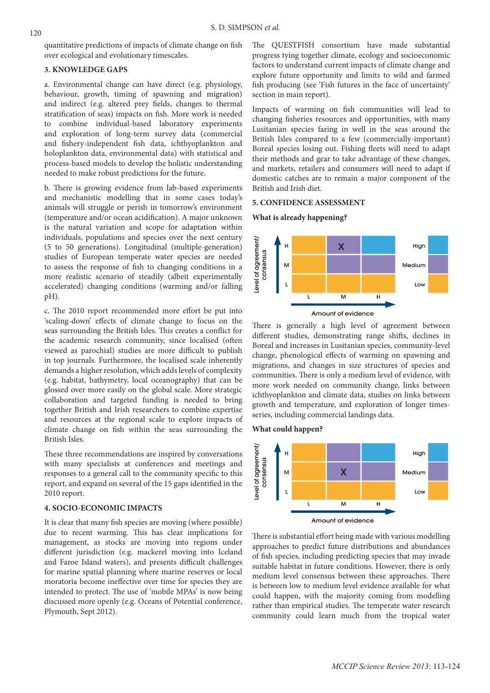quantitative predictions of impacts of climate change on fish over ecological and evolutionary timescales.

## **3. KNOWLEDGE GAPS**

a. Environmental change can have direct (e.g. physiology, behaviour, growth, timing of spawning and migration) and indirect (e.g. altered prey fields, changes to thermal stratification of seas) impacts on fish. More work is needed to combine individual-based laboratory experiments and exploration of long-term survey data (commercial and fishery-independent fish data, ichthyoplankton and holoplankton data, environmental data) with statistical and process-based models to develop the holistic understanding needed to make robust predictions for the future.

b. There is growing evidence from lab-based experiments and mechanistic modelling that in some cases today's animals will struggle or perish in tomorrow's environment (temperature and/or ocean acidification). A major unknown is the natural variation and scope for adaptation within individuals, populations and species over the next century (5 to 50 generations). Longitudinal (multiple-generation) studies of European temperate water species are needed to assess the response of fish to changing conditions in a more realistic scenario of steadily (albeit experimentally accelerated) changing conditions (warming and/or falling pH).

c. The 2010 report recommended more effort be put into 'scaling-down' effects of climate change to focus on the seas surrounding the British Isles. This creates a conflict for the academic research community, since localised (often viewed as parochial) studies are more difficult to publish in top journals. Furthermore, the localised scale inherently demands a higher resolution, which adds levels of complexity (e.g. habitat, bathymetry, local oceanography) that can be glossed over more easily on the global scale. More strategic collaboration and targeted funding is needed to bring together British and Irish researchers to combine expertise and resources at the regional scale to explore impacts of climate change on fish within the seas surrounding the British Isles.

These three recommendations are inspired by conversations with many specialists at conferences and meetings and responses to a general call to the community specific to this report, and expand on several of the 15 gaps identified in the 2010 report.

## **4. SOCIO-ECONOMIC IMPACTS**

It is clear that many fish species are moving (where possible) due to recent warming. This has clear implications for management, as stocks are moving into regions under different jurisdiction (e.g. mackerel moving into Iceland and Faroe Island waters), and presents difficult challenges for marine spatial planning where marine reserves or local moratoria become ineffective over time for species they are intended to protect. The use of 'mobile MPAs' is now being discussed more openly (e.g. Oceans of Potential conference, Plymouth, Sept 2012).

The QUESTFISH consortium have made substantial progress tying together climate, ecology and socioeconomic factors to understand current impacts of climate change and explore future opportunity and limits to wild and farmed fish producing (see 'Fish futures in the face of uncertainty' section in main report).

Impacts of warming on fish communities will lead to changing fisheries resources and opportunities, with many Lusitanian species faring in well in the seas around the British Isles compared to a few (commercially-important) Boreal species losing out. Fishing fleets will need to adapt their methods and gear to take advantage of these changes, and markets, retailers and consumers will need to adapt if domestic catches are to remain a major component of the British and Irish diet.

## **5. CONFIDENCE ASSESSMENT**

## **What is already happening?**



There is generally a high level of agreement between different studies, demonstrating range shifts, declines in Boreal and increases in Lusitanian species, community-level change, phenological effects of warming on spawning and migrations, and changes in size structures of species and communities. There is only a medium level of evidence, with more work needed on community change, links between ichthyoplankton and climate data, studies on links between growth and temperature, and exploration of longer timesseries, including commercial landings data.





There is substantial effort being made with various modelling approaches to predict future distributions and abundances of fish species, including predicting species that may invade suitable habitat in future conditions. However, there is only medium level consensus between these approaches. There is between low to medium level evidence available for what could happen, with the majority coming from modelling rather than empirical studies. The temperate water research community could learn much from the tropical water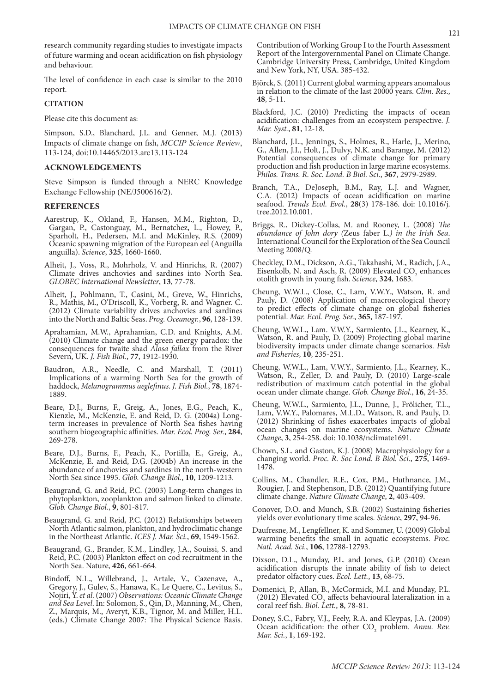research community regarding studies to investigate impacts of future warming and ocean acidification on fish physiology and behaviour.

The level of confidence in each case is similar to the 2010 report.

## **CITATION**

Please cite this document as:

Simpson, S.D., Blanchard, J.L. and Genner, M.J. (2013) Impacts of climate change on fish, *MCCIP Science Review*, 113-124, doi:10.14465/2013.arc13.113-124

#### **ACKNOWLEDGEMENTS**

Steve Simpson is funded through a NERC Knowledge Exchange Fellowship (NE/J500616/2).

#### **REFERENCES**

- Aarestrup, K., Okland, F., Hansen, M.M., Righton, D., Gargan, P., Castonguay, M., Bernatchez, L., Howey, P., Sparholt, H., Pedersen, M.I. and McKinley, R.S. (2009) Oceanic spawning migration of the European eel (Anguilla anguilla). *Science*, **325**, 1660-1660.
- Alheit, J., Voss, R., Mohrholz, V. and Hinrichs, R. (2007) Climate drives anchovies and sardines into North Sea. *GLOBEC International Newsletter*, **13**, 77-78.
- Alheit, J., Pohlmann, T., Casini, M., Greve, W., Hinrichs, R., Mathis, M., O'Driscoll, K., Vorberg, R. and Wagner. C. (2012) Climate variability drives anchovies and sardines into the North and Baltic Seas. *Prog. Oceanogr.*, **96**, 128-139.
- Aprahamian, M.W., Aprahamian, C.D. and Knights, A.M. (2010) Climate change and the green energy paradox: the consequences for twaite shad *Alosa fallax* from the River Severn, UK. *J. Fish Biol.*, **77**, 1912-1930.
- Baudron, A.R., Needle, C. and Marshall, T. (2011) Implications of a warming North Sea for the growth of haddock, *Melanogrammus aeglefinus*. *J. Fish Biol.*, **78**, 1874- 1889.
- Beare, D.J., Burns, F., Greig, A., Jones, E.G., Peach, K., Kienzle, M., McKenzie, E. and Reid, D. G. (2004a) Longterm increases in prevalence of North Sea fishes having southern biogeographic affinities. *Mar. Ecol. Prog. Ser.*, **284**, 269-278.
- Beare, D.J., Burns, F., Peach, K., Portilla, E., Greig, A., McKenzie, E. and Reid, D.G. (2004b) An increase in the abundance of anchovies and sardines in the north-western North Sea since 1995. *Glob. Change Biol.*, **10**, 1209-1213.
- Beaugrand, G. and Reid, P.C. (2003) Long-term changes in phytoplankton, zooplankton and salmon linked to climate. *Glob. Change Biol.*, **9**, 801-817.
- Beaugrand, G. and Reid, P.C. (2012) Relationships between North Atlantic salmon, plankton, and hydroclimatic change in the Northeast Atlantic. *ICES J. Mar. Sci.*, **69**, 1549-1562.
- Beaugrand, G., Brander, K.M., Lindley, J.A., Souissi, S. and Reid, P.C. (2003) Plankton effect on cod recruitment in the North Sea. Nature, **426**, 661-664.
- Bindoff, N.L., Willebrand, J., Artale, V., Cazenave, A., Gregory, J., Gulev, S., Hanawa, K., Le Quere, C., Levitus, S., Nojiri, Y. *et al.* (2007) *Observations: Oceanic Climate Change and Sea Level*. In: Solomon, S., Qin, D., Manning, M., Chen, Z., Marquis, M., Averyt, K.B., Tignor, M. and Miller, H.L. (eds.) Climate Change 2007: The Physical Science Basis.

Contribution of Working Group I to the Fourth Assessment Report of the Intergovernmental Panel on Climate Change. Cambridge University Press, Cambridge, United Kingdom and New York, NY, USA. 385-432.

- Björck, S. (2011) Current global warming appears anomalous in relation to the climate of the last 20000 years. *Clim. Res*., **48**, 5-11.
- Blackford, J.C. (2010) Predicting the impacts of ocean acidification: challenges from an ecosystem perspective. *J. Mar. Syst.*, **81**, 12-18.
- Blanchard, J.L., Jennings, S., Holmes, R., Harle, J., Merino, G., Allen, J.I., Holt, J., Dulvy, N.K. and Barange, M. (2012) Potential consequences of climate change for primary production and fish production in large marine ecosystems. *Philos. Trans. R. Soc. Lond. B Biol. Sci.*, **367**, 2979-2989.
- Branch, T.A., DeJoseph, B.M., Ray, L.J. and Wagner, C.A. (2012) Impacts of ocean acidification on marine seafood. *Trends Ecol. Evol.*, **28**(3) 178-186. doi: 10.1016/j. tree.2012.10.001.
- Briggs, R., Dickey-Collas, M. and Rooney, L. (2008) *The abundance of John dory (*Zeus faber L.*) in the Irish Sea*. International Council for the Exploration of the Sea Council Meeting 2008/Q.
- Checkley, D.M., Dickson, A.G., Takahashi, M., Radich, J.A., Eisenkolb, N. and Asch, R. (2009) Elevated  $CO<sub>2</sub>$  enhances otolith growth in young fish. *Science*, **324**, 1683.
- Cheung, W.W.L., Close, C., Lam, V.W.Y., Watson, R. and Pauly, D. (2008) Application of macroecological theory to predict effects of climate change on global fisheries potential. *Mar. Ecol. Prog. Ser.*, **365**, 187-197.
- Cheung, W.W.L., Lam. V.W.Y., Sarmiento, J.L., Kearney, K., Watson, R. and Pauly, D. (2009) Projecting global marine biodiversity impacts under climate change scenarios. *Fish and Fisheries*, **10**, 235-251.
- Cheung, W.W.L., Lam, V.W.Y., Sarmiento, J.L., Kearney, K., Watson, R., Zeller, D. and Pauly, D. (2010) Large-scale redistribution of maximum catch potential in the global ocean under climate change. *Glob. Change Biol*., **16**, 24-35.
- Cheung, W.W.L., Sarmiento, J.L., Dunne, J., Frölicher, T.L., Lam, V.W.Y., Palomares, M.L.D., Watson, R. and Pauly, D. (2012) Shrinking of fishes exacerbates impacts of global ocean changes on marine ecosystems. *Nature Climate Change*, **3**, 254-258. doi: 10.1038/nclimate1691.
- Chown, S.L. and Gaston, K.J. (2008) Macrophysiology for a changing world. *Proc. R. Soc Lond. B Biol. Sci.*, **275**, 1469- 1478.
- Collins, M., Chandler, R.E., Cox, P.M., Huthnance, J.M., Rougier, J. and Stephenson, D.B. (2012) Quantifying future climate change. *Nature Climate Change*, **2**, 403-409.
- Conover, D.O. and Munch, S.B. (2002) Sustaining fisheries yields over evolutionary time scales. *Science*, **297**, 94-96.
- Daufresne, M., Lengfellner, K. and Sommer, U. (2009) Global warming benefits the small in aquatic ecosystems. *Proc. Natl. Acad. Sci.*, **106**, 12788-12793.
- Dixson, D.L., Munday, P.L. and Jones, G.P. (2010) Ocean acidification disrupts the innate ability of fish to detect predator olfactory cues. *Ecol. Lett.*, **13**, 68-75.
- Domenici, P., Allan, B., McCormick, M.I. and Munday, P.L. (2012) Elevated  $CO_2$  affects behavioural lateralization in a coral reef fish. *Biol. Lett.*, **8**, 78-81.
- Doney, S.C., Fabry, V.J., Feely, R.A. and Kleypas, J.A. (2009) Ocean acidification: the other CO<sub>2</sub> problem. *Annu. Rev. Mar. Sci.*, **1**, 169-192.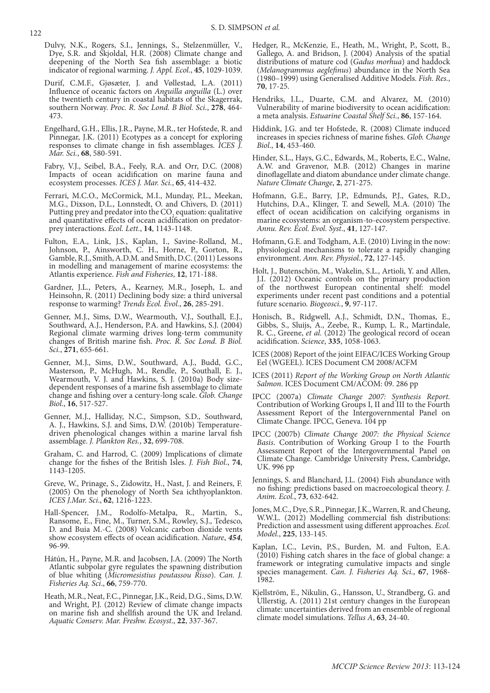- Dulvy, N.K., Rogers, S.I., Jennings, S., Stelzenmüller, V., Dye, S.R. and Skjoldal, H.R. (2008) Climate change and deepening of the North Sea fish assemblage: a biotic indicator of regional warming. *J. Appl. Ecol.*, **45**, 1029-1039.
- Durif, C.M.F., Gjøsæter, J. and Vøllestad, L.A. (2011) Influence of oceanic factors on *Anguilla anguilla* (L.) over the twentieth century in coastal habitats of the Skagerrak, southern Norway. *Proc. R. Soc Lond. B Biol. Sci.*, **278**, 464- 473.
- Engelhard, G.H., Ellis, J.R., Payne, M.R., ter Hofstede, R. and Pinnegar, J.K. (2011) Ecotypes as a concept for exploring responses to climate change in fish assemblages. *ICES J. Mar. Sci.*, **68**, 580-591.
- Fabry, V.J., Seibel, B.A., Feely, R.A. and Orr, D.C. (2008) Impacts of ocean acidification on marine fauna and ecosystem processes. *ICES J. Mar. Sci.*, **65**, 414-432.
- Ferrari, M.C.O., McCormick, M.I., Munday, P.L., Meekan, M.G., Dixson, D.L., Lonnstedt, O. and Chivers, D. (2011) Putting prey and predator into the  $CO<sub>2</sub>$  equation: qualitative and quantitative effects of ocean acidification on predatorprey interactions. *Ecol. Lett.*, **14**, 1143-1148.
- Fulton, E.A., Link, J.S., Kaplan, I., Savine-Rolland, M., Johnson, P., Ainsworth, C. H., Horne, P., Gorton, R., Gamble, R.J., Smith, A.D.M. and Smith, D.C. (2011) Lessons in modelling and management of marine ecosystems: the Atlantis experience. *Fish and Fisheries*, **12**, 171-188.
- Gardner, J.L., Peters, A., Kearney, M.R., Joseph, L. and Heinsohn, R. (2011) Declining body size: a third universal response to warming? *Trends Ecol. Evol*., **26**, 285-291.
- Genner, M.J., Sims, D.W., Wearmouth, V.J., Southall, E.J., Southward, A.J., Henderson, P.A. and Hawkins, S.J. (2004) Regional climate warming drives long-term community changes of British marine fish. *Proc. R. Soc Lond. B Biol. Sci.*, **271**, 655-661.
- Genner, M.J., Sims, D.W., Southward, A.J., Budd, G.C., Masterson, P., McHugh, M., Rendle, P., Southall, E. J., Wearmouth, V. J. and Hawkins, S. J. (2010a) Body sizedependent responses of a marine fish assemblage to climate change and fishing over a century-long scale. *Glob. Change Biol*., **16**, 517-527.
- Genner, M.J., Halliday, N.C., Simpson, S.D., Southward, A. J., Hawkins, S.J. and Sims, D.W. (2010b) Temperaturedriven phenological changes within a marine larval fish assemblage. *J. Plankton Res.*, **32**, 699-708.
- Graham, C. and Harrod, C. (2009) Implications of climate change for the fishes of the British Isles. *J. Fish Biol*., **74**, 1143-1205.
- Greve, W., Prinage, S., Zidowitz, H., Nast, J. and Reiners, F. (2005) On the phenology of North Sea ichthyoplankton. *ICES J.Mar. Sci*., **62**, 1216-1223.
- Hall-Spencer, J.M., Rodolfo-Metalpa, R., Martin, S., Ransome, E., Fine, M., Turner, S.M., Rowley, S.J., Tedesco, D. and Buia M.-C. (2008) Volcanic carbon dioxide vents show ecosystem effects of ocean acidification. *Nature*, *<sup>454</sup>*, 96-99.
- Hátún, H., Payne, M.R. and Jacobsen, J.A. (2009) The North Atlantic subpolar gyre regulates the spawning distribution of blue whiting (*Micromesistius poutassou Risso*). *Can. J. Fisheries Aq. Sci*., **66**, 759-770.
- Heath, M.R., Neat, F.C., Pinnegar, J.K., Reid, D.G., Sims, D.W. and Wright, P.J. (2012) Review of climate change impacts on marine fish and shellfish around the UK and Ireland. *Aquatic Conserv. Mar. Freshw. Ecosyst*., **22**, 337-367.
- Hedger, R., McKenzie, E., Heath, M., Wright, P., Scott, B., Gallego, A. and Bridson, J. (2004) Analysis of the spatial distributions of mature cod (*Gadus morhua*) and haddock (*Melanogrammus aeglefinus*) abundance in the North Sea (1980–1999) using Generalised Additive Models. *Fish. Res.*, **70**, 17-25.
- Hendriks, I.L., Duarte, C.M. and Alvarez, M. (2010) Vulnerability of marine biodiversity to ocean acidification: a meta analysis. *Estuarine Coastal Shelf Sci.*, **86**, 157-164.
- Hiddink, J.G. and ter Hofstede, R. (2008) Climate induced increases in species richness of marine fishes. *Glob. Change Biol*., **14**, 453-460.
- Hinder, S.L., Hays, G.C., Edwards, M., Roberts, E.C., Walne, A.W. and Gravenor, M.B. (2012) Changes in marine dinoflagellate and diatom abundance under climate change. *Nature Climate Change*, **2**, 271-275.
- Hofmann, G.E., Barry, J.P., Edmunds, P.J., Gates, R.D., Hutchins, D.A., Klinger, T. and Sewell, M.A. (2010) The effect of ocean acidification on calcifying organisms in marine ecosystems: an organism-to-ecosystem perspective. *Annu. Rev. Ecol. Evol. Syst*., **41**, 127-147.
- Hofmann, G.E. and Todgham, A.E. (2010) Living in the now: physiological mechanisms to tolerate a rapidly changing environment. *Ann. Rev. Physiol.*, **72**, 127-145.
- Holt, J., Butenschön, M., Wakelin, S.L., Artioli, Y. and Allen, J.I. (2012) Oceanic controls on the primary production of the northwest European continental shelf: model experiments under recent past conditions and a potential future scenario. *Biogeosci.*, **9**, 97-117.
- Honisch, B., Ridgwell, A.J., Schmidt, D.N., Thomas, E., Gibbs, S., Sluijs, A., Zeebe, R., Kump, L. R., Martindale, R. C., Greene, *et al.* (2012) The geological record of ocean acidification. *Science*, **335**, 1058-1063.
- ICES (2008) Report of the joint EIFAC/ICES Working Group Eel (WGEEL). ICES Document CM 2008/ACFM
- ICES (2011) *Report of the Working Group on North Atlantic Salmon*. ICES Document CM/ACOM: 09. 286 pp
- IPCC (2007a) *Climate Change 2007: Synthesis Report.*  Contribution of Working Groups I, II and III to the Fourth Assessment Report of the Intergovernmental Panel on Climate Change. IPCC, Geneva. 104 pp
- IPCC (2007b) *Climate Change 2007: the Physical Science Basis*. Contribution of Working Group I to the Fourth Assessment Report of the Intergovernmental Panel on Climate Change. Cambridge University Press, Cambridge, UK. 996 pp
- Jennings, S. and Blanchard, J.L. (2004) Fish abundance with no fishing: predictions based on macroecological theory. *J. Anim. Ecol.*, **73**, 632-642.
- Jones, M.C., Dye, S.R., Pinnegar, J.K., Warren, R. and Cheung, W.W.L. (2012) Modelling commercial fish distributions: Prediction and assessment using different approaches. *Ecol. Model.*, **225**, 133-145.
- Kaplan, I.C., Levin, P.S., Burden, M. and Fulton, E.A. (2010) Fishing catch shares in the face of global change: a framework or integrating cumulative impacts and single species management. *Can. J. Fisheries Aq. Sci.*, **67**, 1968- 1982.
- Kjellström, E., Nikulin, G., Hansson, U., Strandberg, G. and Ullerstig, A. (2011) 21st century changes in the European climate: uncertainties derived from an ensemble of regional climate model simulations. *Tellus A*, **63**, 24-40.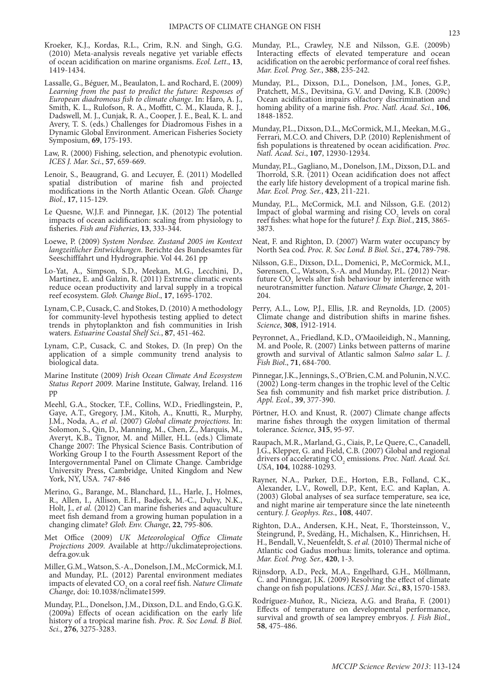- Kroeker, K.J., Kordas, R.L., Crim, R.N. and Singh, G.G. (2010) Meta-analysis reveals negative yet variable effects of ocean acidification on marine organisms. *Ecol. Lett*., **<sup>13</sup>**, 1419-1434.
- Lassalle, G., Béguer, M., Beaulaton, L. and Rochard, E. (2009) *Learning from the past to predict the future: Responses of European diadromous fish to climate change*. In: Haro, A. J., Smith, K. L., Rulofson, R. A., Moffitt, C. M., Klauda, R. J., Dadswell, M. J., Cunjak, R. A., Cooper, J. E., Beal, K. L. and Avery, T. S. (eds.) Challenges for Diadromous Fishes in a Dynamic Global Environment. American Fisheries Society Symposium, **69**, 175-193.
- Law, R. (2000) Fishing, selection, and phenotypic evolution. *ICES J. Mar. Sci*., **57**, 659-669.
- Lenoir, S., Beaugrand, G. and Lecuyer, É. (2011) Modelled spatial distribution of marine fish and projected modifications in the North Atlantic Ocean. *Glob. Change Biol.*, **17**, 115-129.
- Le Quesne, W.J.F. and Pinnegar, J.K. (2012) The potential impacts of ocean acidification: scaling from physiology to fisheries. *Fish and Fisheries*, **13**, 333-344.
- Loewe, P. (2009) *System Nordsee. Zustand 2005 im Kontext langzeitlicher Entwicklungen*. Berichte des Bundesamtes für Seeschifffahrt und Hydrographie. Vol 44. 261 pp
- Lo-Yat, A., Simpson, S.D., Meekan, M.G., Lecchini, D., Martinez, E. and Galzin, R. (2011) Extreme climatic events reduce ocean productivity and larval supply in a tropical reef ecosystem. *Glob. Change Biol*., **17**, 1695-1702.
- Lynam, C.P., Cusack, C. and Stokes, D. (2010) A methodology for community-level hypothesis testing applied to detect trends in phytoplankton and fish communities in Irish waters. *Estuarine Coastal Shelf Sci.*, **87**, 451-462.
- Lynam, C.P., Cusack, C. and Stokes, D. (In prep) On the application of a simple community trend analysis to biological data.
- Marine Institute (2009) *Irish Ocean Climate And Ecosystem Status Report 2009*. Marine Institute, Galway, Ireland. 116 pp
- Meehl, G.A., Stocker, T.F., Collins, W.D., Friedlingstein, P., Gaye, A.T., Gregory, J.M., Kitoh, A., Knutti, R., Murphy, J.M., Noda, A., *et al.* (2007) *Global climate projections.* In: Solomon, S., Qin, D., Manning, M., Chen, Z., Marquis, M., Averyt, K.B., Tignor, M. and Miller, H.L. (eds.) Climate Change 2007: The Physical Science Basis. Contribution of Working Group I to the Fourth Assessment Report of the Intergovernmental Panel on Climate Change. Cambridge University Press, Cambridge, United Kingdom and New York, NY, USA. 747-846
- Merino, G., Barange, M., Blanchard, J.L., Harle, J., Holmes, R., Allen, I., Allison, E.H., Badjeck, M.-C., Dulvy, N.K., Holt, J., *et al.* (2012) Can marine fisheries and aquaculture meet fish demand from a growing human population in a changing climate? *Glob. Env. Change*, **22**, 795-806.
- Met Office (2009) *UK Meteorological Office Climate Projections 2009*. Available at http://ukclimateprojections. defra.gov.uk
- Miller, G.M., Watson, S.-A., Donelson, J.M., McCormick, M.I. and Munday, P.L. (2012) Parental environment mediates impacts of elevated CO<sub>2</sub> on a coral reef fish. *Nature Climate Change*, doi: 10.1038/nclimate1599.
- Munday, P.L., Donelson, J.M., Dixson, D.L. and Endo, G.G.K. (2009a) Effects of ocean acidification on the early life history of a tropical marine fish. *Proc. R. Soc Lond. B Biol. Sci.*, **276**, 3275-3283.
- Munday, P.L., Crawley, N.E and Nilsson, G.E. (2009b) Interacting effects of elevated temperature and ocean acidification on the aerobic performance of coral reef fishes. *Mar. Ecol. Prog. Ser.*, **388**, 235-242.
- Munday, P.L., Dixson, D.L., Donelson, J.M., Jones, G.P., Pratchett, M.S., Devitsina, G.V. and Døving, K.B. (2009c) Ocean acidification impairs olfactory discrimination and homing ability of a marine fish. *Proc. Natl. Acad. Sci.*, **106**, 1848-1852.
- Munday, P.L., Dixson, D.L., McCormick, M.I., Meekan, M.G., Ferrari, M.C.O. and Chivers, D.P. (2010) Replenishment of fish populations is threatened by ocean acidification. *Proc. Natl. Acad. Sci*., **107**, 12930-12934.
- Munday, P.L., Gagliano, M., Donelson, J.M., Dixson, D.L. and Thorrold, S.R. (2011) Ocean acidification does not affect the early life history development of a tropical marine fish. *Mar. Ecol. Prog. Ser.*, **423**, 211-221.
- Munday, P.L., McCormick, M.I. and Nilsson, G.E. (2012) Impact of global warming and rising  $CO<sub>2</sub>$  levels on coral reef fishes: what hope for the future? *J. Exp. Biol.*, **215**, 3865- 3873.
- Neat, F. and Righton, D. (2007) Warm water occupancy by North Sea cod. *Proc. R. Soc Lond. B Biol. Sci.*, **274**, 789-798.
- Nilsson, G.E., Dixson, D.L., Domenici, P., McCormick, M.I., Sørensen, C., Watson, S.-A. and Munday, P.L. (2012) Nearfuture  $CO<sub>2</sub>$  levels alter fish behaviour by interference with neurotransmitter function. *Nature Climate Change*, **2**, 201- 204.
- Perry, A.L., Low, P.J., Ellis, J.R. and Reynolds, J.D. (2005) Climate change and distribution shifts in marine fishes. *Science*, **308**, 1912-1914.
- Peyronnet, A., Friedland, K.D., O'Maoileidigh, N., Manning, M. and Poole, R. (2007) Links between patterns of marine growth and survival of Atlantic salmon *Salmo salar* L. *J. Fish Biol*., **71**, 684-700.
- Pinnegar, J.K., Jennings, S., O'Brien, C.M. and Polunin, N.V.C. (2002) Long-term changes in the trophic level of the Celtic Sea fish community and fish market price distribution. *J. Appl. Ecol.*, **39**, 377-390.
- Pörtner, H.O. and Knust, R. (2007) Climate change affects marine fishes through the oxygen limitation of thermal tolerance. *Science*, **315**, 95-97.
- Raupach, M.R., Marland, G., Ciais, P., Le Quere, C., Canadell, J.G., Klepper, G. and Field, C.B. (2007) Global and regional drivers of accelerating CO<sub>2</sub> emissions. *Proc. Natl. Acad. Sci. LIC LA* **10200 10000** *USA*, **104**, 10288-10293.
- Rayner, N.A., Parker, D.E., Horton, E.B., Folland, C.K., Alexander, L.V., Rowell, D.P., Kent, E.C. and Kaplan, A. (2003) Global analyses of sea surface temperature, sea ice, and night marine air temperature since the late nineteenth century. *J. Geophys. Res.*, **108**, 4407.
- Righton, D.A., Andersen, K.H., Neat, F., Thorsteinsson, V., Steingrund, P., Svedäng, H., Michalsen, K., Hinrichsen, H. H., Bendall, V., Neuenfeldt, S. *et al.* (2010) Thermal niche of Atlantic cod Gadus morhua: limits, tolerance and optima. *Mar. Ecol. Prog. Ser.*, **420**, 1-3.
- Rijnsdorp, A.D., Peck, M.A., Engelhard, G.H., Möllmann, C. and Pinnegar, J.K. (2009) Resolving the effect of climate change on fish populations. *ICES J. Mar. Sci*., **83**, 1570-1583.
- Rodríguez-Muñoz, R., Nicieza, A.G. and Braña, F. (2001) Effects of temperature on developmental performance, survival and growth of sea lamprey embryos. *J. Fish Biol.*, **58**, 475-486.